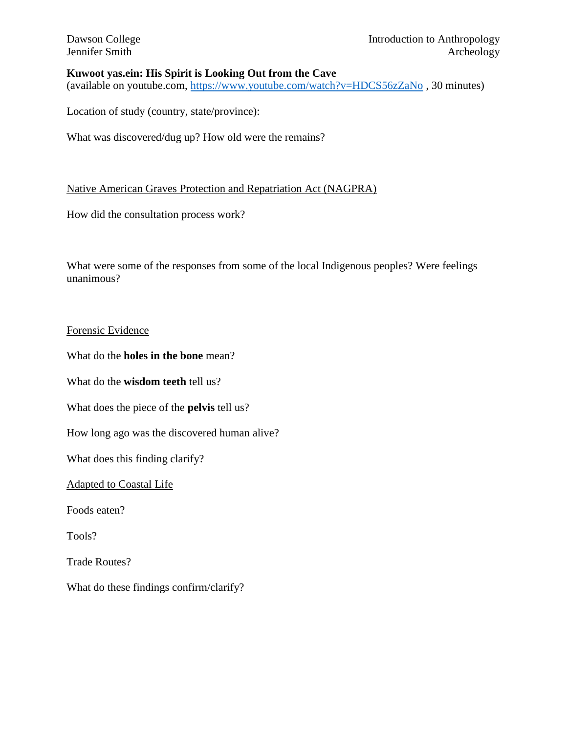### **Kuwoot yas.ein: His Spirit is Looking Out from the Cave**

(available on youtube.com,<https://www.youtube.com/watch?v=HDCS56zZaNo> , 30 minutes)

Location of study (country, state/province):

What was discovered/dug up? How old were the remains?

#### Native American Graves Protection and Repatriation Act (NAGPRA)

How did the consultation process work?

What were some of the responses from some of the local Indigenous peoples? Were feelings unanimous?

#### Forensic Evidence

What do the **holes in the bone** mean?

What do the **wisdom teeth** tell us?

What does the piece of the **pelvis** tell us?

How long ago was the discovered human alive?

What does this finding clarify?

Adapted to Coastal Life

Foods eaten?

Tools?

Trade Routes?

What do these findings confirm/clarify?